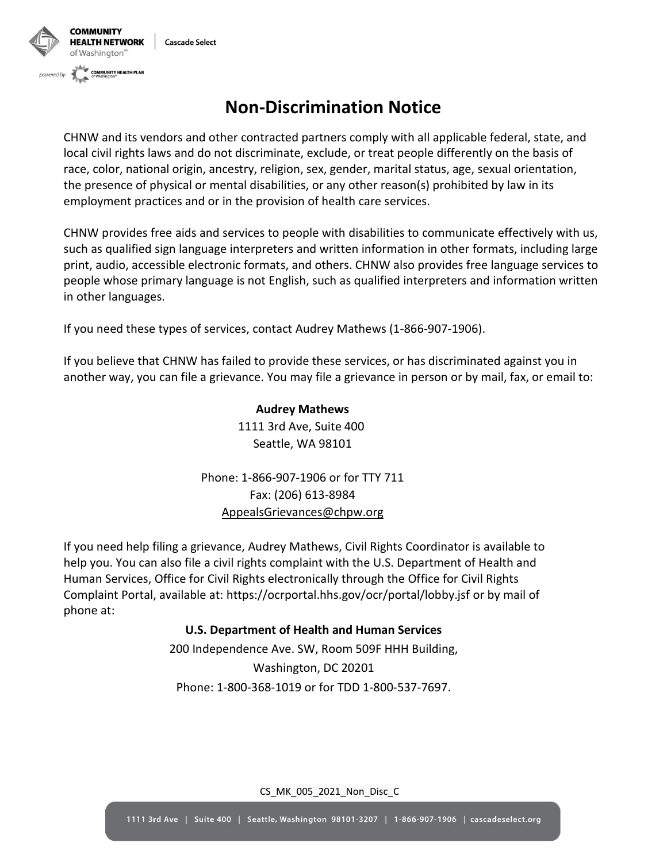

## **Non-Discrimination Notice**

CHNW and its vendors and other contracted partners comply with all applicable federal, state, and local civil rights laws and do not discriminate, exclude, or treat people differently on the basis of race, color, national origin, ancestry, religion, sex, gender, marital status, age, sexual orientation, the presence of physical or mental disabilities, or any other reason(s) prohibited by law in its employment practices and or in the provision of health care services.

CHNW provides free aids and services to people with disabilities to communicate effectively with us, such as qualified sign language interpreters and written information in other formats, including large print, audio, accessible electronic formats, and others. CHNW also provides free language services to people whose primary language is not English, such as qualified interpreters and information written in other languages.

If you need these types of services, contact Audrey Mathews (1-866-907-1906).

If you believe that CHNW has failed to provide these services, or has discriminated against you in another way, you can file a grievance. You may file a grievance in person or by mail, fax, or email to:

> **Audrey Mathews** 1111 3rd Ave, Suite 400 Seattle, WA 98101

Phone: 1-866-907-1906 or for TTY 711 Fax: (206) 613-8984 [AppealsGrievances@chpw.org](mailto:AppealsGrievances@chpw.org)

If you need help filing a grievance, Audrey Mathews, Civil Rights Coordinator is available to help you. You can also file a civil rights complaint with the U.S. Department of Health and Human Services, Office for Civil Rights electronically through the Office for Civil Rights Complaint Portal, available at: [https://ocrportal.hhs.gov/ocr/portal/lobby.jsf o](https://ocrportal.hhs.gov/ocr/portal/lobby.jsf)r by mail of phone at:

## **U.S. Department of Health and Human Services**

200 Independence Ave. SW, Room 509F HHH Building, Washington, DC 20201 Phone: 1-800-368-1019 or for TDD 1-800-537-7697.

CS\_MK\_005\_2021\_Non\_Disc\_C